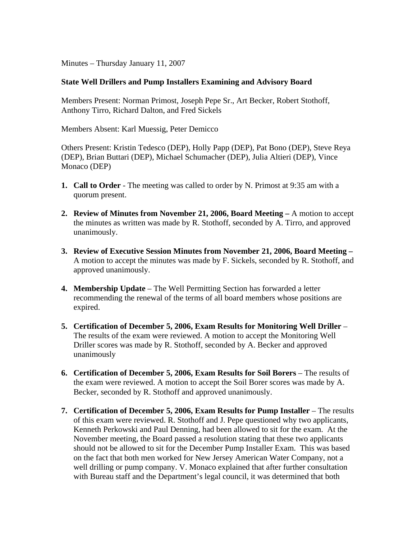Minutes – Thursday January 11, 2007

## **State Well Drillers and Pump Installers Examining and Advisory Board**

Members Present: Norman Primost, Joseph Pepe Sr., Art Becker, Robert Stothoff, Anthony Tirro, Richard Dalton, and Fred Sickels

Members Absent: Karl Muessig, Peter Demicco

Others Present: Kristin Tedesco (DEP), Holly Papp (DEP), Pat Bono (DEP), Steve Reya (DEP), Brian Buttari (DEP), Michael Schumacher (DEP), Julia Altieri (DEP), Vince Monaco (DEP)

- **1. Call to Order** The meeting was called to order by N. Primost at 9:35 am with a quorum present.
- **2. Review of Minutes from November 21, 2006, Board Meeting** A motion to accept the minutes as written was made by R. Stothoff, seconded by A. Tirro, and approved unanimously.
- **3. Review of Executive Session Minutes from November 21, 2006, Board Meeting –** A motion to accept the minutes was made by F. Sickels, seconded by R. Stothoff, and approved unanimously.
- **4. Membership Update** The Well Permitting Section has forwarded a letter recommending the renewal of the terms of all board members whose positions are expired.
- **5. Certification of December 5, 2006, Exam Results for Monitoring Well Driller**  The results of the exam were reviewed. A motion to accept the Monitoring Well Driller scores was made by R. Stothoff, seconded by A. Becker and approved unanimously
- **6. Certification of December 5, 2006, Exam Results for Soil Borers** The results of the exam were reviewed. A motion to accept the Soil Borer scores was made by A. Becker, seconded by R. Stothoff and approved unanimously.
- **7. Certification of December 5, 2006, Exam Results for Pump Installer** The results of this exam were reviewed. R. Stothoff and J. Pepe questioned why two applicants, Kenneth Perkowski and Paul Denning, had been allowed to sit for the exam. At the November meeting, the Board passed a resolution stating that these two applicants should not be allowed to sit for the December Pump Installer Exam. This was based on the fact that both men worked for New Jersey American Water Company, not a well drilling or pump company. V. Monaco explained that after further consultation with Bureau staff and the Department's legal council, it was determined that both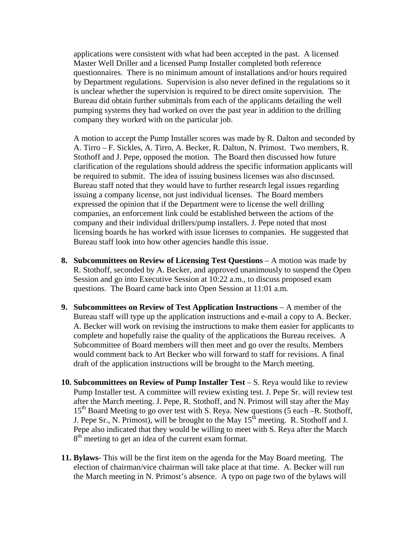applications were consistent with what had been accepted in the past. A licensed Master Well Driller and a licensed Pump Installer completed both reference questionnaires. There is no minimum amount of installations and/or hours required by Department regulations. Supervision is also never defined in the regulations so it is unclear whether the supervision is required to be direct onsite supervision. The Bureau did obtain further submittals from each of the applicants detailing the well pumping systems they had worked on over the past year in addition to the drilling company they worked with on the particular job.

A motion to accept the Pump Installer scores was made by R. Dalton and seconded by A. Tirro – F. Sickles, A. Tirro, A. Becker, R. Dalton, N. Primost. Two members, R. Stothoff and J. Pepe, opposed the motion. The Board then discussed how future clarification of the regulations should address the specific information applicants will be required to submit. The idea of issuing business licenses was also discussed. Bureau staff noted that they would have to further research legal issues regarding issuing a company license, not just individual licenses. The Board members expressed the opinion that if the Department were to license the well drilling companies, an enforcement link could be established between the actions of the company and their individual drillers/pump installers. J. Pepe noted that most licensing boards he has worked with issue licenses to companies. He suggested that Bureau staff look into how other agencies handle this issue.

- **8.** Subcommittees on Review of Licensing Test Questions A motion was made by R. Stothoff, seconded by A. Becker, and approved unanimously to suspend the Open Session and go into Executive Session at 10:22 a.m., to discuss proposed exam questions. The Board came back into Open Session at 11:01 a.m.
- **9. Subcommittees on Review of Test Application Instructions**  A member of the Bureau staff will type up the application instructions and e-mail a copy to A. Becker. A. Becker will work on revising the instructions to make them easier for applicants to complete and hopefully raise the quality of the applications the Bureau receives. A Subcommittee of Board members will then meet and go over the results. Members would comment back to Art Becker who will forward to staff for revisions. A final draft of the application instructions will be brought to the March meeting.
- **10. Subcommittees on Review of Pump Installer Test S. Reya would like to review** Pump Installer test. A committee will review existing test. J. Pepe Sr. will review test after the March meeting. J. Pepe, R. Stothoff, and N. Primost will stay after the May 15<sup>th</sup> Board Meeting to go over test with S. Reya. New questions (5 each –R. Stothoff, J. Pepe Sr., N. Primost), will be brought to the May  $15<sup>th</sup>$  meeting. R. Stothoff and J. Pepe also indicated that they would be willing to meet with S. Reya after the March  $8<sup>th</sup>$  meeting to get an idea of the current exam format.
- **11. Bylaws** This will be the first item on the agenda for the May Board meeting. The election of chairman/vice chairman will take place at that time. A. Becker will run the March meeting in N. Primost's absence. A typo on page two of the bylaws will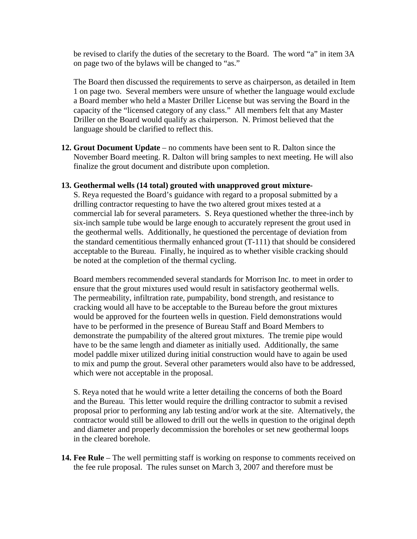be revised to clarify the duties of the secretary to the Board. The word "a" in item 3A on page two of the bylaws will be changed to "as."

The Board then discussed the requirements to serve as chairperson, as detailed in Item 1 on page two. Several members were unsure of whether the language would exclude a Board member who held a Master Driller License but was serving the Board in the capacity of the "licensed category of any class." All members felt that any Master Driller on the Board would qualify as chairperson. N. Primost believed that the language should be clarified to reflect this.

**12. Grout Document Update** – no comments have been sent to R. Dalton since the November Board meeting. R. Dalton will bring samples to next meeting. He will also finalize the grout document and distribute upon completion.

## **13. Geothermal wells (14 total) grouted with unapproved grout mixture-**

S. Reya requested the Board's guidance with regard to a proposal submitted by a drilling contractor requesting to have the two altered grout mixes tested at a commercial lab for several parameters. S. Reya questioned whether the three-inch by six-inch sample tube would be large enough to accurately represent the grout used in the geothermal wells. Additionally, he questioned the percentage of deviation from the standard cementitious thermally enhanced grout (T-111) that should be considered acceptable to the Bureau. Finally, he inquired as to whether visible cracking should be noted at the completion of the thermal cycling.

Board members recommended several standards for Morrison Inc. to meet in order to ensure that the grout mixtures used would result in satisfactory geothermal wells. The permeability, infiltration rate, pumpability, bond strength, and resistance to cracking would all have to be acceptable to the Bureau before the grout mixtures would be approved for the fourteen wells in question. Field demonstrations would have to be performed in the presence of Bureau Staff and Board Members to demonstrate the pumpability of the altered grout mixtures. The tremie pipe would have to be the same length and diameter as initially used. Additionally, the same model paddle mixer utilized during initial construction would have to again be used to mix and pump the grout. Several other parameters would also have to be addressed, which were not acceptable in the proposal.

S. Reya noted that he would write a letter detailing the concerns of both the Board and the Bureau. This letter would require the drilling contractor to submit a revised proposal prior to performing any lab testing and/or work at the site. Alternatively, the contractor would still be allowed to drill out the wells in question to the original depth and diameter and properly decommission the boreholes or set new geothermal loops in the cleared borehole.

**14. Fee Rule** – The well permitting staff is working on response to comments received on the fee rule proposal. The rules sunset on March 3, 2007 and therefore must be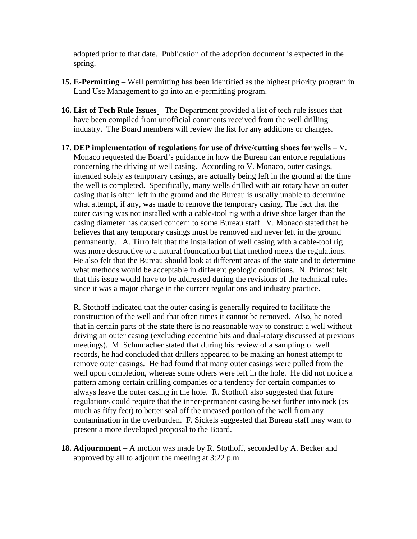adopted prior to that date. Publication of the adoption document is expected in the spring.

- **15. E-Permitting** Well permitting has been identified as the highest priority program in Land Use Management to go into an e-permitting program.
- **16. List of Tech Rule Issues**  The Department provided a list of tech rule issues that have been compiled from unofficial comments received from the well drilling industry. The Board members will review the list for any additions or changes.
- **17. DEP implementation of regulations for use of drive/cutting shoes for wells** V. Monaco requested the Board's guidance in how the Bureau can enforce regulations concerning the driving of well casing. According to V. Monaco, outer casings, intended solely as temporary casings, are actually being left in the ground at the time the well is completed. Specifically, many wells drilled with air rotary have an outer casing that is often left in the ground and the Bureau is usually unable to determine what attempt, if any, was made to remove the temporary casing. The fact that the outer casing was not installed with a cable-tool rig with a drive shoe larger than the casing diameter has caused concern to some Bureau staff. V. Monaco stated that he believes that any temporary casings must be removed and never left in the ground permanently. A. Tirro felt that the installation of well casing with a cable-tool rig was more destructive to a natural foundation but that method meets the regulations. He also felt that the Bureau should look at different areas of the state and to determine what methods would be acceptable in different geologic conditions. N. Primost felt that this issue would have to be addressed during the revisions of the technical rules since it was a major change in the current regulations and industry practice.

R. Stothoff indicated that the outer casing is generally required to facilitate the construction of the well and that often times it cannot be removed. Also, he noted that in certain parts of the state there is no reasonable way to construct a well without driving an outer casing (excluding eccentric bits and dual-rotary discussed at previous meetings). M. Schumacher stated that during his review of a sampling of well records, he had concluded that drillers appeared to be making an honest attempt to remove outer casings. He had found that many outer casings were pulled from the well upon completion, whereas some others were left in the hole. He did not notice a pattern among certain drilling companies or a tendency for certain companies to always leave the outer casing in the hole. R. Stothoff also suggested that future regulations could require that the inner/permanent casing be set further into rock (as much as fifty feet) to better seal off the uncased portion of the well from any contamination in the overburden. F. Sickels suggested that Bureau staff may want to present a more developed proposal to the Board.

**18. Adjournment** – A motion was made by R. Stothoff, seconded by A. Becker and approved by all to adjourn the meeting at 3:22 p.m.